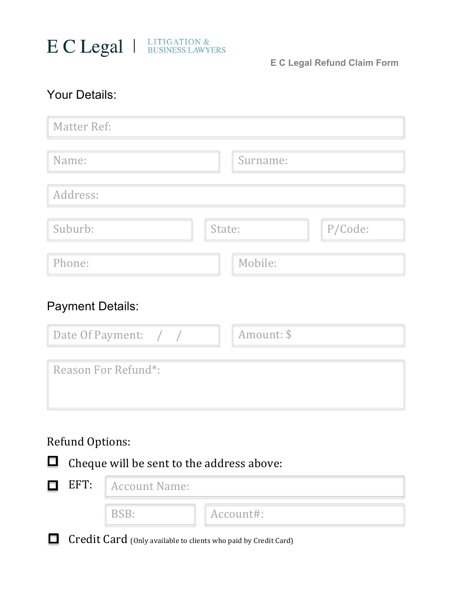

**E C Legal Refund Claim Form**

## Your Details:

| <b>Matter Ref:</b> |          |         |
|--------------------|----------|---------|
| Name:              | Surname: |         |
| Address:           |          |         |
| Suburb:            | State:   | P/Code: |
| Phone:             | Mobile:  |         |

## Payment Details:

| Date Of Payment: $/$ / | Amount: \$ |
|------------------------|------------|
| Reason For Refund*:    |            |

## Refund Options:



**Credit Card** (Only available to clients who paid by Credit Card)